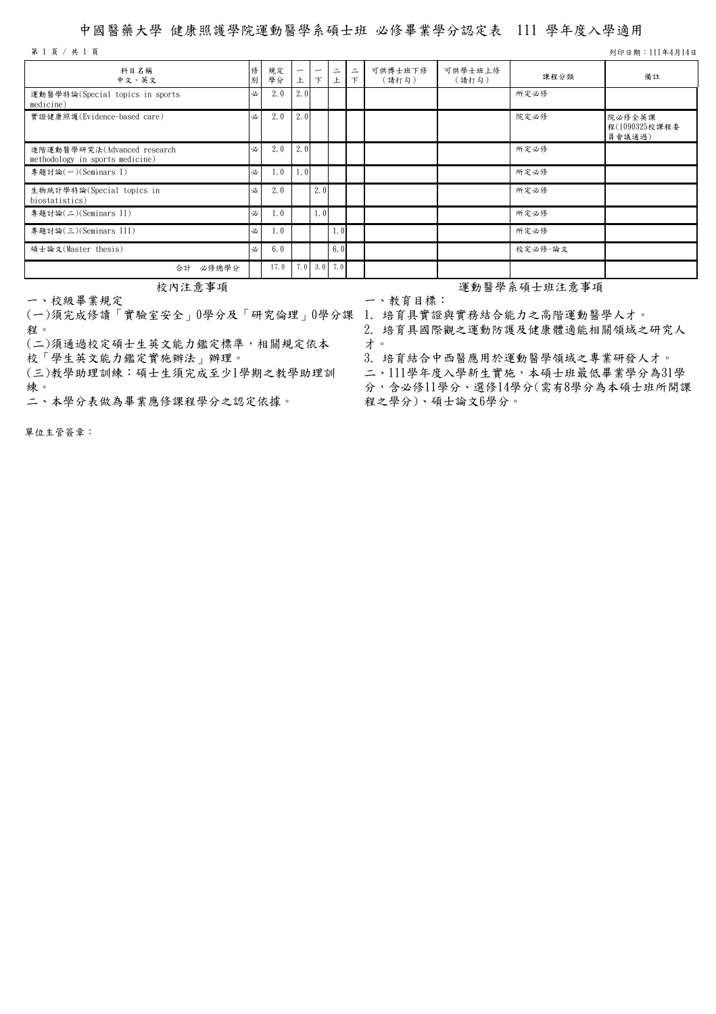## 中國醫藥大學 健康照護學院運動醫學系碩士班 必修畢業學分認定表 111 學年度入學適用

第 1 頁 / 共 1 頁 기 111年4月14日

| 科目名稱<br>中文、英文                                                  | 修<br>別 | 規定<br>學分 | -<br>上           | -<br>下           | 二<br>上 | ᆖ<br>下 | 可供博士班下修<br>(請打勾) | 可供學士班上修<br>(請打勾) | 課程分類    | 備註                                |
|----------------------------------------------------------------|--------|----------|------------------|------------------|--------|--------|------------------|------------------|---------|-----------------------------------|
| 運動醫學特論(Special topics in sports<br>medicine)                   | 必      | 2.0      | 2.0              |                  |        |        |                  |                  | 所定必修    |                                   |
| 實證健康照護(Evidence-based care)                                    | 必      | 2.0      | 2.0              |                  |        |        |                  |                  | 院定必修    | 院必修全英課<br>程(1090325校課程委<br>員會議通過) |
| 進階運動醫學研究法(Advanced research<br>methodology in sports medicine) | 必      | 2.0      | 2.0              |                  |        |        |                  |                  | 所定必修    |                                   |
| 專題討論(一)(Seminars I)                                            | 必      | 1.0      | 1.0 <sup>1</sup> |                  |        |        |                  |                  | 所定必修    |                                   |
| 生物統計學特論(Special topics in<br>biostatistics)                    | 必      | 2.0      |                  | 2.0              |        |        |                  |                  | 所定必修    |                                   |
| 專題討論(二)(Seminars II)                                           | 必      | 1.0      |                  | 1.0 <sub>l</sub> |        |        |                  |                  | 所定必修    |                                   |
| 專題討論(三)(Seminars III)                                          | 必      | 1.0      |                  |                  | 1.0    |        |                  |                  | 所定必修    |                                   |
| 碩士論文(Master thesis)                                            | 必      | 6.0      |                  |                  | 6.0    |        |                  |                  | 校定必修-論文 |                                   |
| 必修總學分<br>合計                                                    |        | 17.0     |                  | $7.0$ 3.0 7.0    |        |        |                  |                  |         |                                   |

一、校級畢業規定

(一)須完成修讀「實驗室安全」0學分及「研究倫理」0學分課 1. 培育具實證與實務結合能力之高階運動醫學人才。 程。

(二)須通過校定碩士生英文能力鑑定標準,相關規定依本

校「學生英文能力鑑定實施辦法」辦理。

(三)教學助理訓練:碩士生須完成至少1學期之教學助理訓 練。<br>二、本學分表做為畢業應修課程學分之認定依據。

校內注意事項 おおもの この この この おおおお こうかん 運動醫學系碩士班注意事項

一、教育目標:

2. 培育具國際觀之運動防護及健康體適能相關領域之研究人 才。

3. 培育結合中西醫應用於運動醫學領域之專業研發人才。 二、111學年度入學新生實施,本碩士班最低畢業學分為31學 分,含必修11學分、選修14學分(需有8學分為本碩士班所開課 程之學分)、碩士論文6學分。

單位主管簽章: